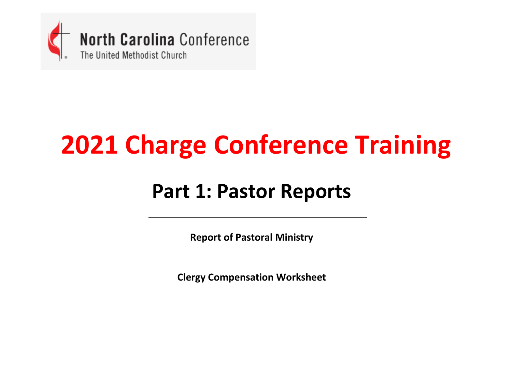

## **2021 Charge Conference Training**

### **Part 1: Pastor Reports**

**Report of Pastoral Ministry**

**Clergy Compensation Worksheet**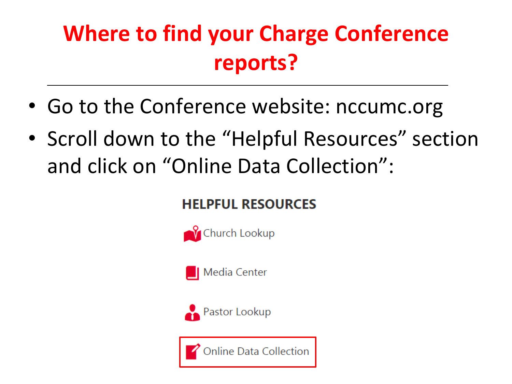## **Where to find your Charge Conference reports?**

- Go to the Conference website: nccumc.org
- Scroll down to the "Helpful Resources" section and click on "Online Data Collection":

### **HELPFUL RESOURCES**







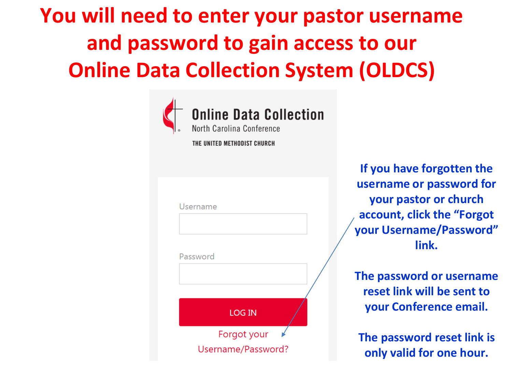## **You will need to enter your pastor username and password to gain access to our Online Data Collection System (OLDCS)**



**If you have forgotten the username or password for your pastor or church account, click the "Forgot your Username/Password" link.**

**The password or username reset link will be sent to your Conference email.**

**The password reset link is only valid for one hour.**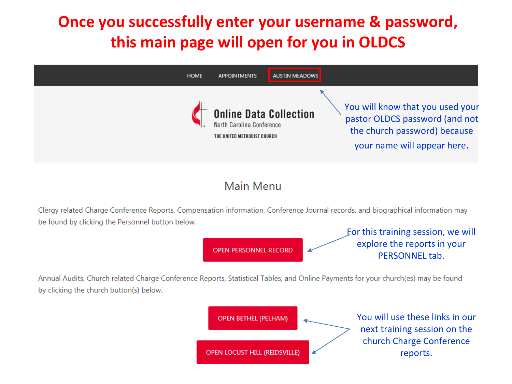### **Once you successfully enter your username & password, this main page will open for you in OLDCS**



#### Main Menu

Clergy related Charge Conference Reports, Compensation information, Conference Journal records, and biographical information may be found by clicking the Personnel button below.

**OPEN PERSONNEL RECORD** 

For this training session, we will explore the reports in your PERSONNEL tab.

Annual Audits, Church related Charge Conference Reports, Statistical Tables, and Online Payments for your church(es) may be found by clicking the church button(s) below.

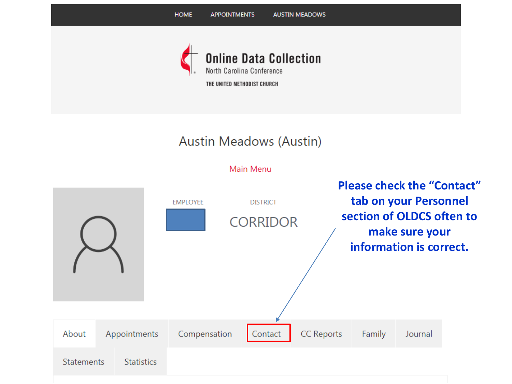

Main Menu

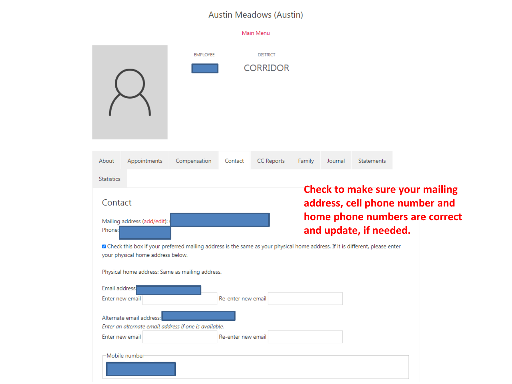|                   |                                             |                                                                                                                                |                    | Main Menu                          |        |         |                        |                                                                                                            |
|-------------------|---------------------------------------------|--------------------------------------------------------------------------------------------------------------------------------|--------------------|------------------------------------|--------|---------|------------------------|------------------------------------------------------------------------------------------------------------|
|                   |                                             | <b>EMPLOYEE</b>                                                                                                                |                    | <b>DISTRICT</b><br><b>CORRIDOR</b> |        |         |                        |                                                                                                            |
| About             | Appointments                                | Compensation                                                                                                                   | Contact            | CC Reports                         | Family | Journal | Statements             |                                                                                                            |
| <b>Statistics</b> |                                             |                                                                                                                                |                    |                                    |        |         |                        |                                                                                                            |
| Contact<br>Phone: | Mailing address (add/edit):                 |                                                                                                                                |                    |                                    |        |         | and update, if needed. | <b>Check to make sure your mailing</b><br>address, cell phone number and<br>home phone numbers are correct |
|                   | your physical home address below.           | a Check this box if your preferred mailing address is the same as your physical home address. If it is different, please enter |                    |                                    |        |         |                        |                                                                                                            |
|                   |                                             | Physical home address: Same as mailing address.                                                                                |                    |                                    |        |         |                        |                                                                                                            |
| Email address     |                                             |                                                                                                                                |                    |                                    |        |         |                        |                                                                                                            |
|                   | Enter new email                             |                                                                                                                                | Re-enter new email |                                    |        |         |                        |                                                                                                            |
|                   | Alternate email address:<br>Enter new email | Enter an alternate email address if one is available.                                                                          | Re-enter new email |                                    |        |         |                        |                                                                                                            |
|                   | -Mobile number                              |                                                                                                                                |                    |                                    |        |         |                        |                                                                                                            |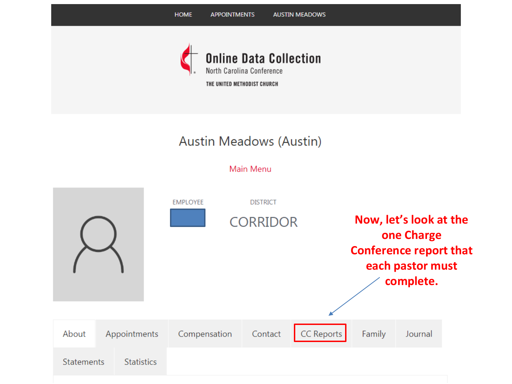

Main Menu

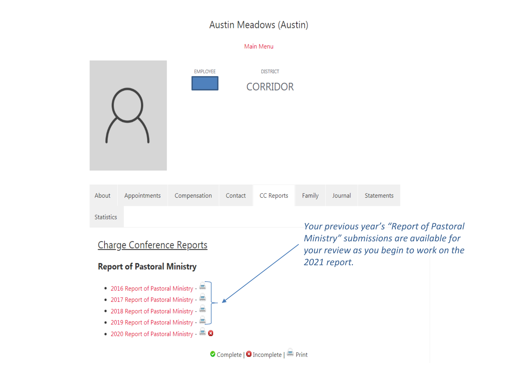|                                                                              |                                                   |                 |         | Main Menu                                  |        |                                                                                                                                                |            |  |  |  |
|------------------------------------------------------------------------------|---------------------------------------------------|-----------------|---------|--------------------------------------------|--------|------------------------------------------------------------------------------------------------------------------------------------------------|------------|--|--|--|
|                                                                              |                                                   | <b>EMPLOYEE</b> |         | <b>DISTRICT</b><br><b>CORRIDOR</b>         |        |                                                                                                                                                |            |  |  |  |
| About                                                                        | Appointments                                      | Compensation    | Contact | <b>CC Reports</b>                          | Family | Journal                                                                                                                                        | Statements |  |  |  |
| <b>Statistics</b>                                                            |                                                   |                 |         |                                            |        |                                                                                                                                                |            |  |  |  |
| <b>Charge Conference Reports</b><br><b>Report of Pastoral Ministry</b>       |                                                   |                 |         |                                            |        | Your previous year's "Report of Pastoral<br>Ministry" submissions are available for<br>your review as you begin to work on the<br>2021 report. |            |  |  |  |
| • 2016 Report of Pastoral Ministry -<br>• 2017 Report of Pastoral Ministry - |                                                   |                 |         |                                            |        |                                                                                                                                                |            |  |  |  |
| • 2018 Report of Pastoral Ministry -<br>• 2019 Report of Pastoral Ministry - |                                                   |                 |         |                                            |        |                                                                                                                                                |            |  |  |  |
|                                                                              | • 2020 Report of Pastoral Ministry - <sup>2</sup> |                 |         |                                            |        |                                                                                                                                                |            |  |  |  |
|                                                                              |                                                   |                 |         | O Complete   <b>O</b> Incomplete   ■ Print |        |                                                                                                                                                |            |  |  |  |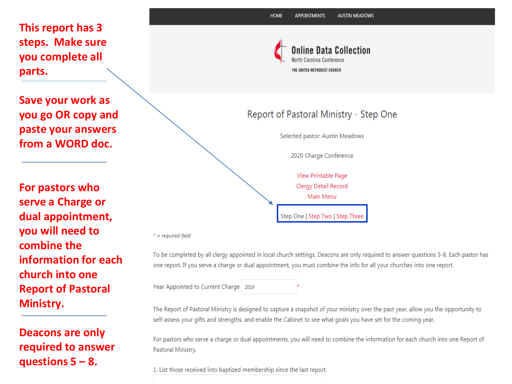**This report has 3 steps. Make sure you complete all parts.**

**Save your work as you go OR copy and paste your answers from a WORD doc.**

**For pastors who serve a Charge or dual appointment, you will need to combine the information for each church into one Report of Pastoral Ministry.**

**Deacons are only required to answer questions 5 – 8.**



#### Report of Pastoral Ministry - Step One

Selected pastor: Austin Meadows

2020 Charge Conference

View Printable Page Clergy Detail Record Main Menu Step One | Step Two | Step Three

 $* = required field$ 

To be completed by all clergy appointed in local church settings. Deacons are only required to answer questions 5-8. Each pastor has one report. If you serve a charge or dual appointment, you must combine the info for all your churches into one report.

Year Appointed to Current Charge 2019

The Report of Pastoral Ministry is designed to capture a snapshot of your ministry over the past year, allow you the opportunity to self-assess your gifts and strengths, and enable the Cabinet to see what goals you have set for the coming year.

For pastors who serve a charge or dual appointments, you will need to combine the information for each church into one Report of Pastoral Ministry.

1. List those received into baptized membership since the last report.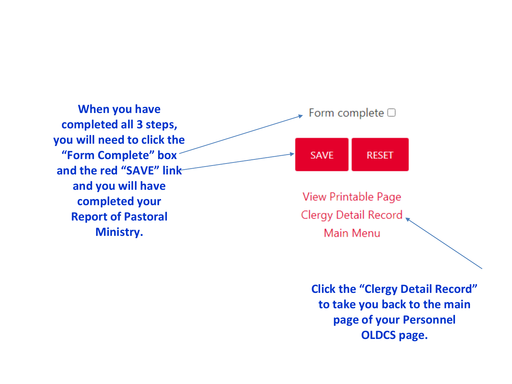

**Click the "Clergy Detail Record" to take you back to the main page of your Personnel OLDCS page.**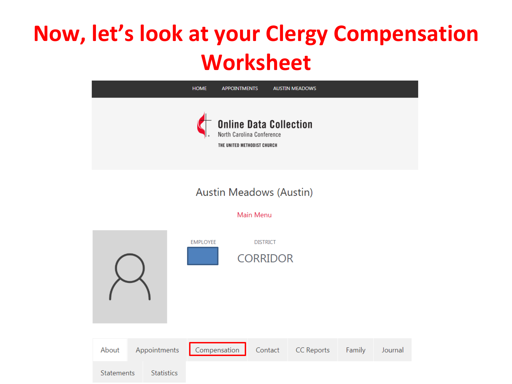## **Now, let's look at your Clergy Compensation Worksheet**

| <b>HOME</b> | <b>APPOINTMENTS</b>                                                                       | <b>AUSTIN MEADOWS</b> |  |
|-------------|-------------------------------------------------------------------------------------------|-----------------------|--|
|             | <b>Online Data Collection</b><br>North Carolina Conference<br>THE UNITED METHODIST CHURCH |                       |  |

#### **Austin Meadows (Austin)**

#### Main Menu

**EMPLOYEE DISTRICT CORRIDOR** About Appointments Compensation **CC Reports** Contact Family Journal Statements **Statistics**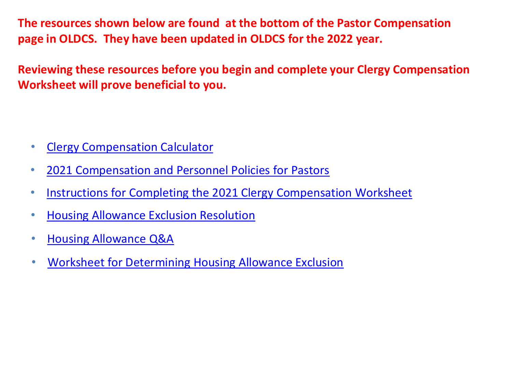**The resources shown below are found at the bottom of the Pastor Compensation page in OLDCS. They have been updated in OLDCS for the 2022 year.**

**Reviewing these resources before you begin and complete your Clergy Compensation Worksheet will prove beneficial to you.**

- [Clergy Compensation Calculator](https://nccumc.org/treasurer/pension/clergy-compensation-calculator/)
- [2021 Compensation and Personnel Policies for Pastors](https://nccumc.org/treasurer/files/Compensation-and-Personnel-Policies-for-Pastors-2021.pdf)
- [Instructions for Completing the 2021 Clergy Compensation Worksheet](https://nccumc.org/treasurer/files/2021ClergyCompWSInstructions.pdf)
- [Housing Allowance Exclusion Resolution](https://nccumc.org/files/housing_allowance_exclusion_resolution_2021.pdf)
- [Housing Allowance Q&A](https://nccumc.org/files/Housing-Allowance-Q-A.pdf)
- [Worksheet for Determining Housing Allowance Exclusion](https://nccumc.org/files/housing_allowance_exclusion_worksheet_2021.pdf)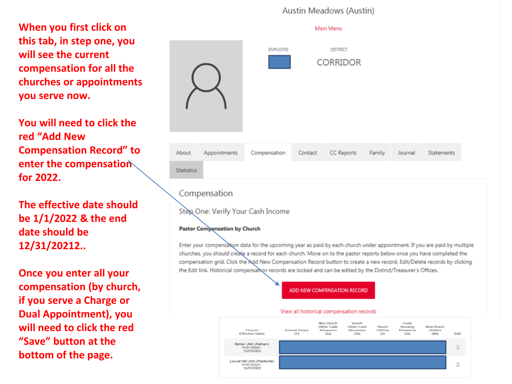**When you first click on this tab, in step one, you will see the current compensation for all the churches or appointments you serve now.**

**You will need to click the red "Add New Compensation Record" to enter the compensation for 2022.**

#### **The effective date should be 1/1/2022 & the end date should be 12/31/20212..**

**Once you enter all your compensation (by church, if you serve a Charge or Dual Appointment), you will need to click the red "Save" button at the bottom of the page.**

|                   |                                                      |                                   |         | Main Menu                          |        |         |            |  |
|-------------------|------------------------------------------------------|-----------------------------------|---------|------------------------------------|--------|---------|------------|--|
|                   |                                                      | <b>EMPLOYEE</b>                   |         | <b>DISTRICT</b><br><b>CORRIDOR</b> |        |         |            |  |
| About             | Appointments                                         | Compensation                      | Contact | CC Reports                         | Family | Journal | Statements |  |
| <b>Statistics</b> |                                                      |                                   |         |                                    |        |         |            |  |
|                   | Compensation<br><b>Pastor Compensation by Church</b> | Step One: Verify Your Cash Income |         |                                    |        |         |            |  |

Enter your compensation data for the upcoming year as paid by each church under appointment. If you are paid by multiple churches, you should create a record for each church. Move on to the pastor reports below once you have completed the compensation grid. Click the Add New Compensation Record button to create a new record. Edit/Delete records by clicking the Edit link. Historical compensation records are locked and can be edited by the District/Treasurer's Offices.

ADD NEW COMPENSATION RECORD

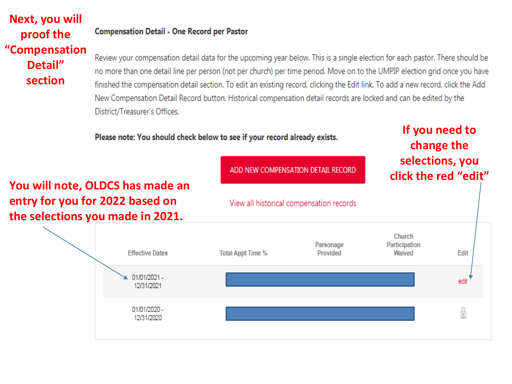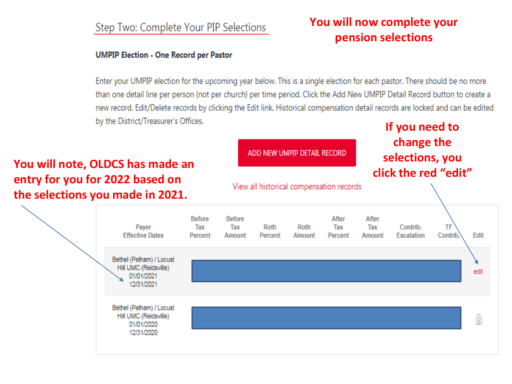#### Step Two: Complete Your PIP Selections

#### **UMPIP Election - One Record per Pastor**

#### Enter your UMPIP election for the upcoming year below. This is a single election for each pastor. There should be no more than one detail line per person (not per church) per time period. Click the Add New UMPIP Detail Record button to create a new record. Edit/Delete records by clicking the Edit link. Historical compensation detail records are locked and can be edited by the District/Treasurer's Offices.

**You will note, OLDCS has made an entry for you for 2022 based on the selections you made in 2021.**

#### ADD NEW UMPIP DETAIL RECORD

View all historical compensation records

#### **If you need to change the selections, you click the red "edit"**



#### **You will now complete your pension selections**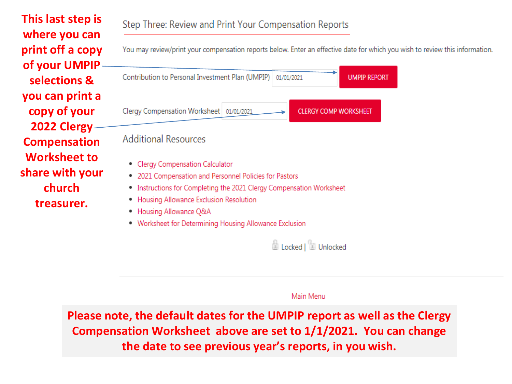**This last step is where you can print off a copy**  You may review/print your compensation reports below. Enter an effective date for which you wish to review this information. **of your UMPIP selections & you can print a copy of your 2022 Clergy Compensation Worksheet to share with your church treasurer.** 

Contribution to Personal Investment Plan (UMPIP) 01/01/2021 **UMPIP REPORT** Clergy Compensation Worksheet 01/01/2021 **CLERGY COMP WORKSHEET Additional Resources** • Clergy Compensation Calculator . 2021 Compensation and Personnel Policies for Pastors • Instructions for Completing the 2021 Clergy Compensation Worksheet • Housing Allowance Exclusion Resolution • Housing Allowance Q&A • Worksheet for Determining Housing Allowance Exclusion

**El Locked Le Lunlocked** 

Main Menu

**Please note, the default dates for the UMPIP report as well as the Clergy Compensation Worksheet above are set to 1/1/2021. You can change the date to see previous year's reports, in you wish.**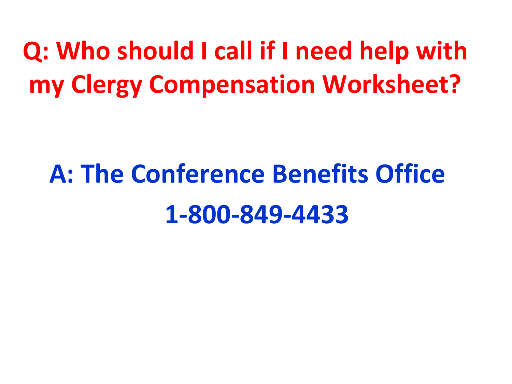**Q: Who should I call if I need help with my Clergy Compensation Worksheet?** 

# **A: The Conference Benefits Office 1-800-849-4433**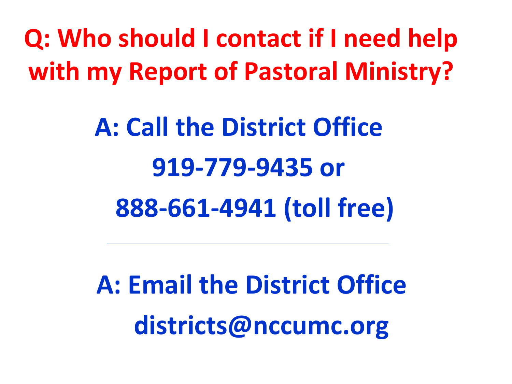**Q: Who should I contact if I need help with my Report of Pastoral Ministry?** 

> **A: Call the District Office 919-779-9435 or 888-661-4941 (toll free)**

**A: Email the District Office districts@nccumc.org**